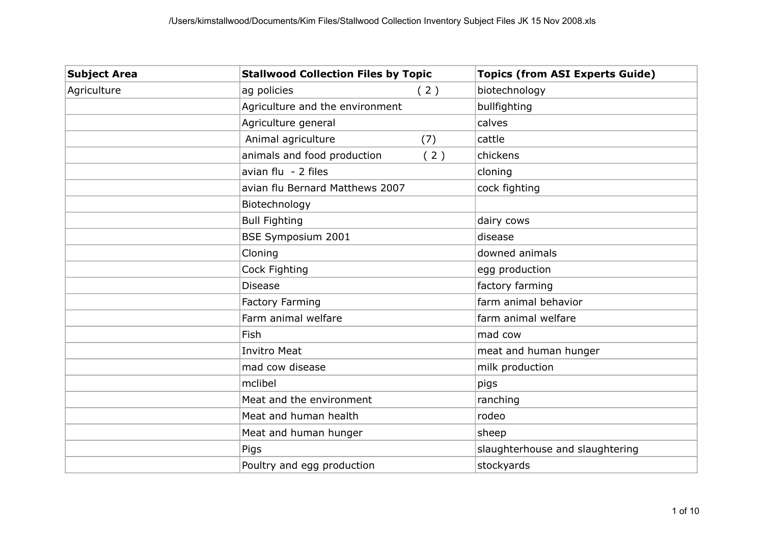| <b>Subject Area</b> | <b>Stallwood Collection Files by Topic</b> | <b>Topics (from ASI Experts Guide)</b> |
|---------------------|--------------------------------------------|----------------------------------------|
| Agriculture         | ag policies<br>(2)                         | biotechnology                          |
|                     | Agriculture and the environment            | bullfighting                           |
|                     | Agriculture general                        | calves                                 |
|                     | Animal agriculture<br>(7)                  | cattle                                 |
|                     | animals and food production<br>(2)         | chickens                               |
|                     | avian flu - 2 files                        | cloning                                |
|                     | avian flu Bernard Matthews 2007            | cock fighting                          |
|                     | Biotechnology                              |                                        |
|                     | <b>Bull Fighting</b>                       | dairy cows                             |
|                     | <b>BSE Symposium 2001</b>                  | disease                                |
|                     | Cloning                                    | downed animals                         |
|                     | Cock Fighting                              | egg production                         |
|                     | <b>Disease</b>                             | factory farming                        |
|                     | <b>Factory Farming</b>                     | farm animal behavior                   |
|                     | Farm animal welfare                        | farm animal welfare                    |
|                     | Fish                                       | mad cow                                |
|                     | <b>Invitro Meat</b>                        | meat and human hunger                  |
|                     | mad cow disease                            | milk production                        |
|                     | mclibel                                    | pigs                                   |
|                     | Meat and the environment                   | ranching                               |
|                     | Meat and human health                      | rodeo                                  |
|                     | Meat and human hunger                      | sheep                                  |
|                     | Pigs                                       | slaughterhouse and slaughtering        |
|                     | Poultry and egg production                 | stockyards                             |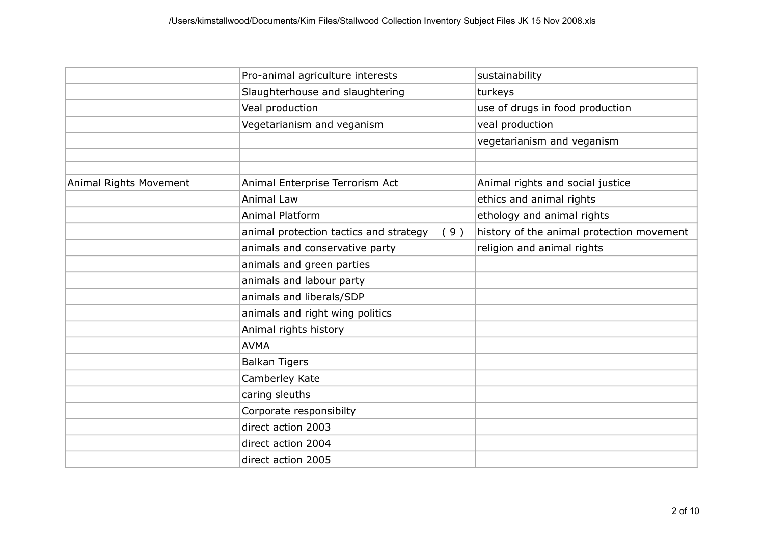|                        | Pro-animal agriculture interests              | sustainability                            |
|------------------------|-----------------------------------------------|-------------------------------------------|
|                        | Slaughterhouse and slaughtering               | turkeys                                   |
|                        | Veal production                               | use of drugs in food production           |
|                        | Vegetarianism and veganism                    | veal production                           |
|                        |                                               | vegetarianism and veganism                |
|                        |                                               |                                           |
|                        |                                               |                                           |
| Animal Rights Movement | Animal Enterprise Terrorism Act               | Animal rights and social justice          |
|                        | <b>Animal Law</b>                             | ethics and animal rights                  |
|                        | <b>Animal Platform</b>                        | ethology and animal rights                |
|                        | animal protection tactics and strategy<br>(9) | history of the animal protection movement |
|                        | animals and conservative party                | religion and animal rights                |
|                        | animals and green parties                     |                                           |
|                        | animals and labour party                      |                                           |
|                        | animals and liberals/SDP                      |                                           |
|                        | animals and right wing politics               |                                           |
|                        | Animal rights history                         |                                           |
|                        | <b>AVMA</b>                                   |                                           |
|                        | <b>Balkan Tigers</b>                          |                                           |
|                        | Camberley Kate                                |                                           |
|                        | caring sleuths                                |                                           |
|                        | Corporate responsibilty                       |                                           |
|                        | direct action 2003                            |                                           |
|                        | direct action 2004                            |                                           |
|                        | direct action 2005                            |                                           |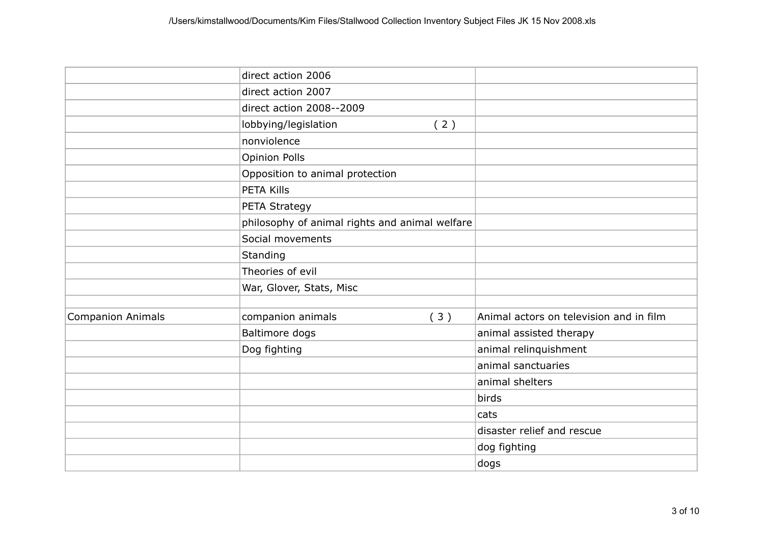|                   | direct action 2006                             |     |                                         |
|-------------------|------------------------------------------------|-----|-----------------------------------------|
|                   | direct action 2007                             |     |                                         |
|                   | direct action 2008--2009                       |     |                                         |
|                   | lobbying/legislation                           | (2) |                                         |
|                   | nonviolence                                    |     |                                         |
|                   | <b>Opinion Polls</b>                           |     |                                         |
|                   | Opposition to animal protection                |     |                                         |
|                   | <b>PETA Kills</b>                              |     |                                         |
|                   | PETA Strategy                                  |     |                                         |
|                   | philosophy of animal rights and animal welfare |     |                                         |
|                   | Social movements                               |     |                                         |
|                   | Standing                                       |     |                                         |
|                   | Theories of evil                               |     |                                         |
|                   | War, Glover, Stats, Misc                       |     |                                         |
|                   |                                                |     |                                         |
| Companion Animals | companion animals                              | (3) | Animal actors on television and in film |
|                   | Baltimore dogs                                 |     | animal assisted therapy                 |
|                   | Dog fighting                                   |     | animal relinquishment                   |
|                   |                                                |     | animal sanctuaries                      |
|                   |                                                |     | animal shelters                         |
|                   |                                                |     | birds                                   |
|                   |                                                |     | cats                                    |
|                   |                                                |     | disaster relief and rescue              |
|                   |                                                |     | dog fighting                            |
|                   |                                                |     | dogs                                    |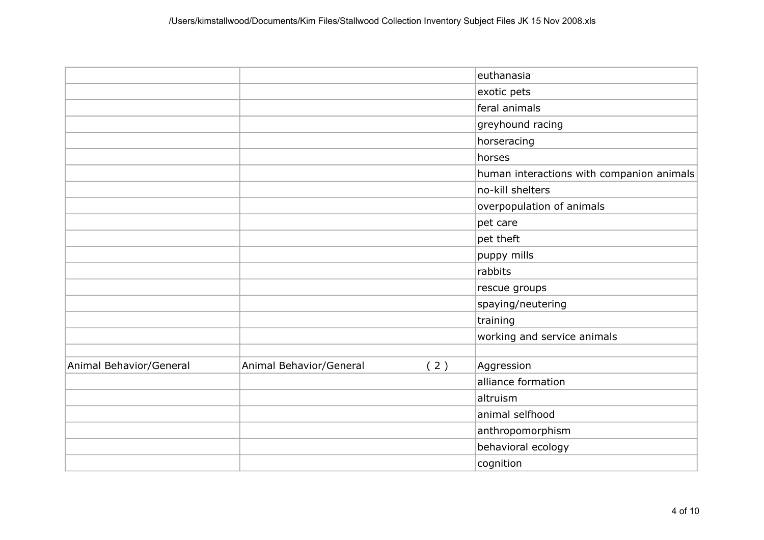|                         |                         |     | euthanasia                                |
|-------------------------|-------------------------|-----|-------------------------------------------|
|                         |                         |     | exotic pets                               |
|                         |                         |     | feral animals                             |
|                         |                         |     | greyhound racing                          |
|                         |                         |     | horseracing                               |
|                         |                         |     | horses                                    |
|                         |                         |     | human interactions with companion animals |
|                         |                         |     | no-kill shelters                          |
|                         |                         |     | overpopulation of animals                 |
|                         |                         |     | pet care                                  |
|                         |                         |     | pet theft                                 |
|                         |                         |     | puppy mills                               |
|                         |                         |     | rabbits                                   |
|                         |                         |     | rescue groups                             |
|                         |                         |     | spaying/neutering                         |
|                         |                         |     | training                                  |
|                         |                         |     | working and service animals               |
|                         |                         |     |                                           |
| Animal Behavior/General | Animal Behavior/General | (2) | Aggression                                |
|                         |                         |     | alliance formation                        |
|                         |                         |     | altruism                                  |
|                         |                         |     | animal selfhood                           |
|                         |                         |     | anthropomorphism                          |
|                         |                         |     | behavioral ecology                        |
|                         |                         |     | cognition                                 |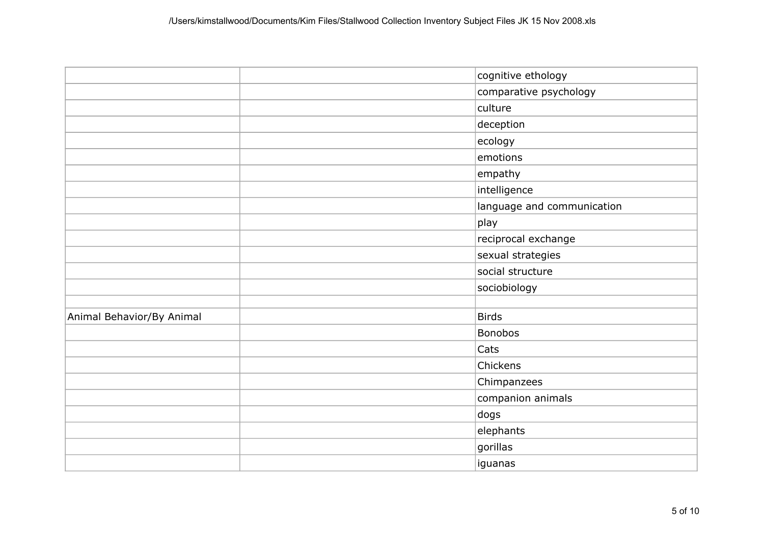|                           | cognitive ethology         |
|---------------------------|----------------------------|
|                           | comparative psychology     |
|                           | culture                    |
|                           | deception                  |
|                           | ecology                    |
|                           | emotions                   |
|                           | empathy                    |
|                           | intelligence               |
|                           | language and communication |
|                           | play                       |
|                           | reciprocal exchange        |
|                           | sexual strategies          |
|                           | social structure           |
|                           | sociobiology               |
|                           |                            |
| Animal Behavior/By Animal | <b>Birds</b>               |
|                           | <b>Bonobos</b>             |
|                           | Cats                       |
|                           | Chickens                   |
|                           | Chimpanzees                |
|                           | companion animals          |
|                           | dogs                       |
|                           | elephants                  |
|                           | gorillas                   |
|                           | iguanas                    |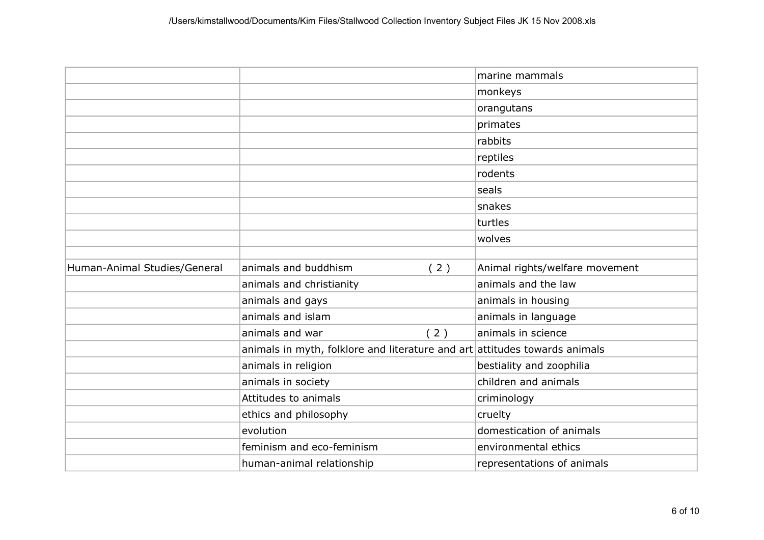|                              |                                                                              |     | marine mammals                 |
|------------------------------|------------------------------------------------------------------------------|-----|--------------------------------|
|                              |                                                                              |     | monkeys                        |
|                              |                                                                              |     | orangutans                     |
|                              |                                                                              |     | primates                       |
|                              |                                                                              |     | rabbits                        |
|                              |                                                                              |     | reptiles                       |
|                              |                                                                              |     | rodents                        |
|                              |                                                                              |     | seals                          |
|                              |                                                                              |     | snakes                         |
|                              |                                                                              |     | turtles                        |
|                              |                                                                              |     | wolves                         |
|                              |                                                                              |     |                                |
| Human-Animal Studies/General | animals and buddhism                                                         | (2) | Animal rights/welfare movement |
|                              | animals and christianity                                                     |     | animals and the law            |
|                              | animals and gays                                                             |     | animals in housing             |
|                              | animals and islam                                                            |     | animals in language            |
|                              | animals and war                                                              | (2) | animals in science             |
|                              | animals in myth, folklore and literature and $art$ attitudes towards animals |     |                                |
|                              | animals in religion                                                          |     | bestiality and zoophilia       |
|                              | animals in society                                                           |     | children and animals           |
|                              | Attitudes to animals                                                         |     | criminology                    |
|                              | ethics and philosophy                                                        |     | cruelty                        |
|                              | evolution                                                                    |     | domestication of animals       |
|                              | feminism and eco-feminism                                                    |     | environmental ethics           |
|                              | human-animal relationship                                                    |     | representations of animals     |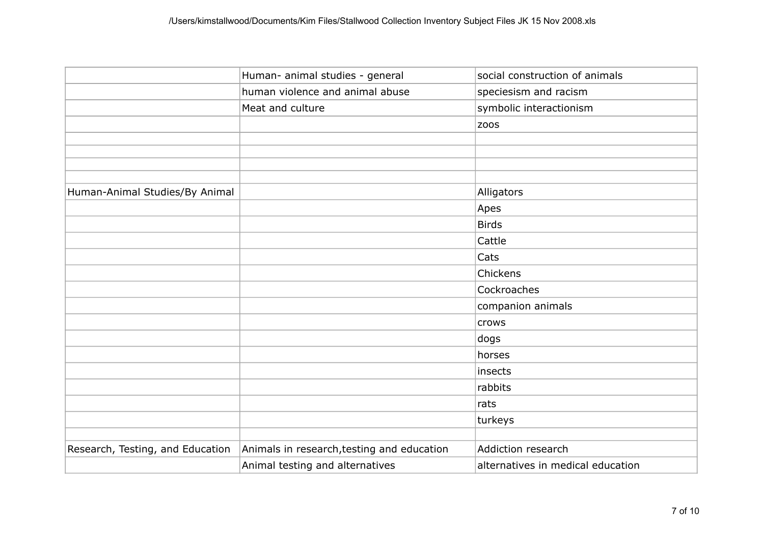|                                  | Human- animal studies - general            | social construction of animals    |
|----------------------------------|--------------------------------------------|-----------------------------------|
|                                  | human violence and animal abuse            | speciesism and racism             |
|                                  | Meat and culture                           | symbolic interactionism           |
|                                  |                                            | <b>ZOOS</b>                       |
|                                  |                                            |                                   |
|                                  |                                            |                                   |
|                                  |                                            |                                   |
| Human-Animal Studies/By Animal   |                                            | Alligators                        |
|                                  |                                            | Apes                              |
|                                  |                                            | <b>Birds</b>                      |
|                                  |                                            | Cattle                            |
|                                  |                                            | Cats                              |
|                                  |                                            | Chickens                          |
|                                  |                                            | Cockroaches                       |
|                                  |                                            | companion animals                 |
|                                  |                                            | crows                             |
|                                  |                                            | dogs                              |
|                                  |                                            | horses                            |
|                                  |                                            | insects                           |
|                                  |                                            | rabbits                           |
|                                  |                                            | rats                              |
|                                  |                                            | turkeys                           |
|                                  |                                            |                                   |
| Research, Testing, and Education | Animals in research, testing and education | Addiction research                |
|                                  | Animal testing and alternatives            | alternatives in medical education |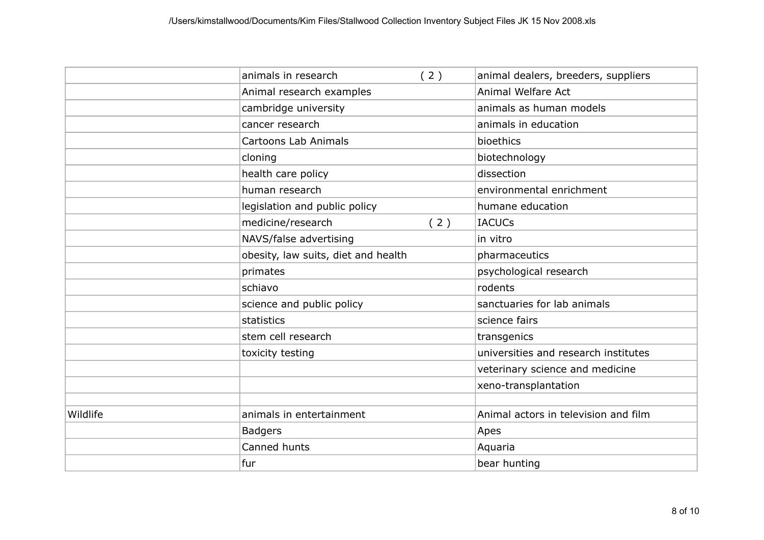|          | animals in research                 | (2) | animal dealers, breeders, suppliers  |
|----------|-------------------------------------|-----|--------------------------------------|
|          | Animal research examples            |     | Animal Welfare Act                   |
|          | cambridge university                |     | animals as human models              |
|          | cancer research                     |     | animals in education                 |
|          | Cartoons Lab Animals                |     | bioethics                            |
|          | cloning                             |     | biotechnology                        |
|          | health care policy                  |     | dissection                           |
|          | human research                      |     | environmental enrichment             |
|          | legislation and public policy       |     | humane education                     |
|          | medicine/research                   | (2) | <b>IACUCs</b>                        |
|          | NAVS/false advertising              |     | in vitro                             |
|          | obesity, law suits, diet and health |     | pharmaceutics                        |
|          | primates                            |     | psychological research               |
|          | schiavo                             |     | rodents                              |
|          | science and public policy           |     | sanctuaries for lab animals          |
|          | statistics                          |     | science fairs                        |
|          | stem cell research                  |     | transgenics                          |
|          | toxicity testing                    |     | universities and research institutes |
|          |                                     |     | veterinary science and medicine      |
|          |                                     |     | xeno-transplantation                 |
|          |                                     |     |                                      |
| Wildlife | animals in entertainment            |     | Animal actors in television and film |
|          | <b>Badgers</b>                      |     | Apes                                 |
|          | Canned hunts                        |     | Aquaria                              |
|          | fur                                 |     | bear hunting                         |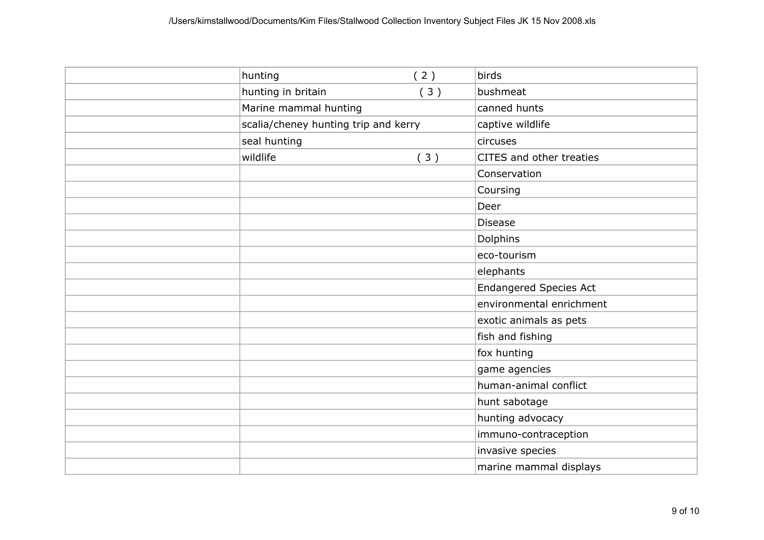| hunting                              | (2) | birds                         |
|--------------------------------------|-----|-------------------------------|
| hunting in britain                   | (3) | bushmeat                      |
| Marine mammal hunting                |     | canned hunts                  |
| scalia/cheney hunting trip and kerry |     | captive wildlife              |
| seal hunting                         |     | circuses                      |
| wildlife                             | (3) | CITES and other treaties      |
|                                      |     | Conservation                  |
|                                      |     | Coursing                      |
|                                      |     | Deer                          |
|                                      |     | <b>Disease</b>                |
|                                      |     | Dolphins                      |
|                                      |     | eco-tourism                   |
|                                      |     | elephants                     |
|                                      |     | <b>Endangered Species Act</b> |
|                                      |     | environmental enrichment      |
|                                      |     | exotic animals as pets        |
|                                      |     | fish and fishing              |
|                                      |     | fox hunting                   |
|                                      |     | game agencies                 |
|                                      |     | human-animal conflict         |
|                                      |     | hunt sabotage                 |
|                                      |     | hunting advocacy              |
|                                      |     | immuno-contraception          |
|                                      |     | invasive species              |
|                                      |     | marine mammal displays        |